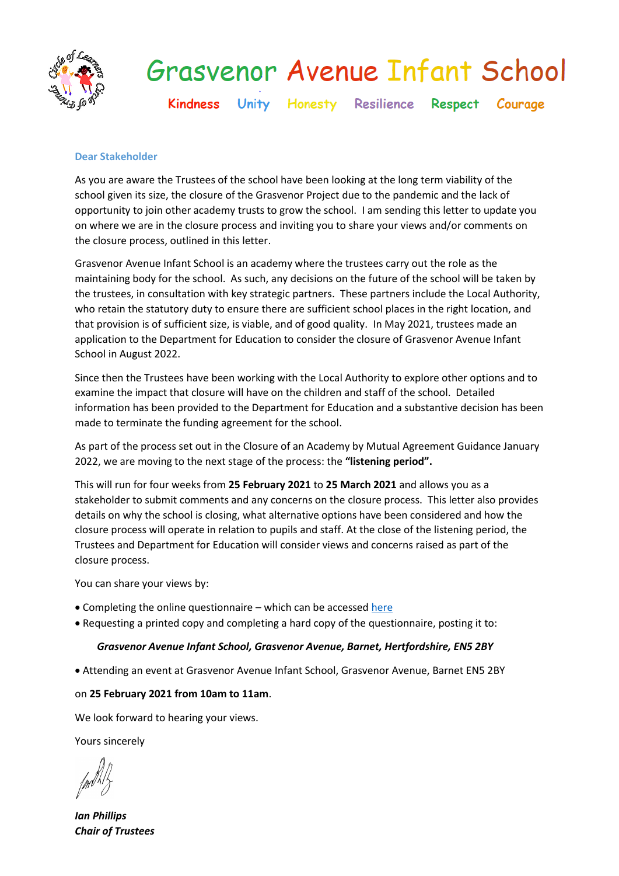

# **Grasvenor Avenue Infant School**

Kindness Unity Honesty Resilience Respect Courage

## **Dear Stakeholder**

As you are aware the Trustees of the school have been looking at the long term viability of the school given its size, the closure of the Grasvenor Project due to the pandemic and the lack of opportunity to join other academy trusts to grow the school. I am sending this letter to update you on where we are in the closure process and inviting you to share your views and/or comments on the closure process, outlined in this letter.

Grasvenor Avenue Infant School is an academy where the trustees carry out the role as the maintaining body for the school. As such, any decisions on the future of the school will be taken by the trustees, in consultation with key strategic partners. These partners include the Local Authority, who retain the statutory duty to ensure there are sufficient school places in the right location, and that provision is of sufficient size, is viable, and of good quality. In May 2021, trustees made an application to the Department for Education to consider the closure of Grasvenor Avenue Infant School in August 2022.

Since then the Trustees have been working with the Local Authority to explore other options and to examine the impact that closure will have on the children and staff of the school. Detailed information has been provided to the Department for Education and a substantive decision has been made to terminate the funding agreement for the school.

As part of the process set out in the Closure of an Academy by Mutual Agreement Guidance January 2022, we are moving to the next stage of the process: the **"listening period".**

This will run for four weeks from **25 February 2021** to **25 March 2021** and allows you as a stakeholder to submit comments and any concerns on the closure process. This letter also provides details on why the school is closing, what alternative options have been considered and how the closure process will operate in relation to pupils and staff. At the close of the listening period, the Trustees and Department for Education will consider views and concerns raised as part of the closure process.

You can share your views by:

- Completing the online questionnaire which can be accessed [here](https://www.surveymonkey.co.uk/r/GAIS-ListeningSurvey22)
- Requesting a printed copy and completing a hard copy of the questionnaire, posting it to:

## *Grasvenor Avenue Infant School, Grasvenor Avenue, Barnet, Hertfordshire, EN5 2BY*

Attending an event at Grasvenor Avenue Infant School, Grasvenor Avenue, Barnet EN5 2BY

## on **25 February 2021 from 10am to 11am**.

We look forward to hearing your views.

Yours sincerely

*Ian Phillips Chair of Trustees*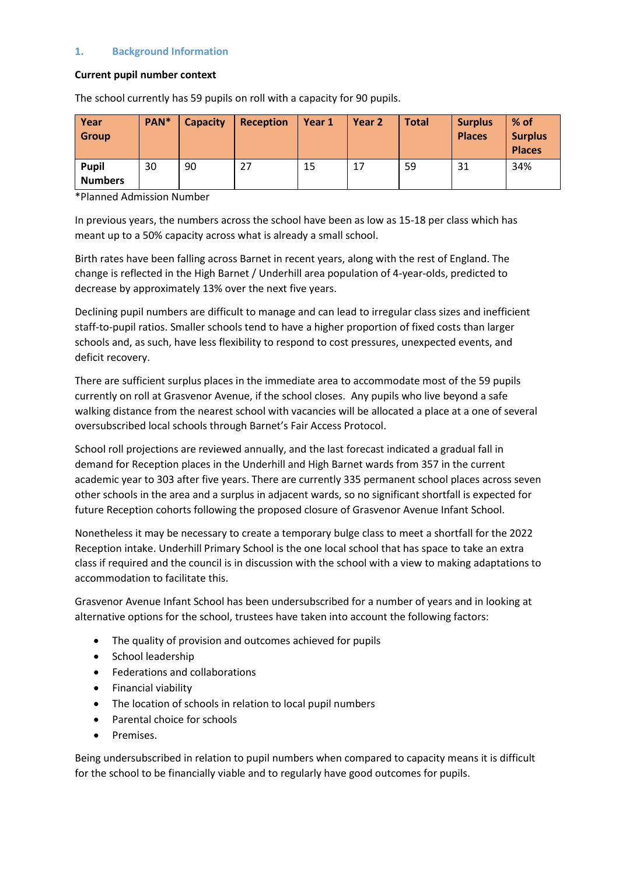## **1. Background Information**

#### **Current pupil number context**

The school currently has 59 pupils on roll with a capacity for 90 pupils.

| Year<br><b>Group</b>           | PAN* | <b>Capacity</b> | <b>Reception</b> | Year 1 | Year 2 | <b>Total</b> | <b>Surplus</b><br><b>Places</b> | $%$ of<br><b>Surplus</b><br><b>Places</b> |
|--------------------------------|------|-----------------|------------------|--------|--------|--------------|---------------------------------|-------------------------------------------|
| <b>Pupil</b><br><b>Numbers</b> | 30   | 90              | 27               | 15     | 17     | 59           | 31                              | 34%                                       |

\*Planned Admission Number

In previous years, the numbers across the school have been as low as 15-18 per class which has meant up to a 50% capacity across what is already a small school.

Birth rates have been falling across Barnet in recent years, along with the rest of England. The change is reflected in the High Barnet / Underhill area population of 4-year-olds, predicted to decrease by approximately 13% over the next five years.

Declining pupil numbers are difficult to manage and can lead to irregular class sizes and inefficient staff-to-pupil ratios. Smaller schools tend to have a higher proportion of fixed costs than larger schools and, as such, have less flexibility to respond to cost pressures, unexpected events, and deficit recovery.

There are sufficient surplus places in the immediate area to accommodate most of the 59 pupils currently on roll at Grasvenor Avenue, if the school closes. Any pupils who live beyond a safe walking distance from the nearest school with vacancies will be allocated a place at a one of several oversubscribed local schools through Barnet's Fair Access Protocol.

School roll projections are reviewed annually, and the last forecast indicated a gradual fall in demand for Reception places in the Underhill and High Barnet wards from 357 in the current academic year to 303 after five years. There are currently 335 permanent school places across seven other schools in the area and a surplus in adjacent wards, so no significant shortfall is expected for future Reception cohorts following the proposed closure of Grasvenor Avenue Infant School.

Nonetheless it may be necessary to create a temporary bulge class to meet a shortfall for the 2022 Reception intake. Underhill Primary School is the one local school that has space to take an extra class if required and the council is in discussion with the school with a view to making adaptations to accommodation to facilitate this.

Grasvenor Avenue Infant School has been undersubscribed for a number of years and in looking at alternative options for the school, trustees have taken into account the following factors:

- The quality of provision and outcomes achieved for pupils
- School leadership
- Federations and collaborations
- Financial viability
- The location of schools in relation to local pupil numbers
- Parental choice for schools
- Premises.

Being undersubscribed in relation to pupil numbers when compared to capacity means it is difficult for the school to be financially viable and to regularly have good outcomes for pupils.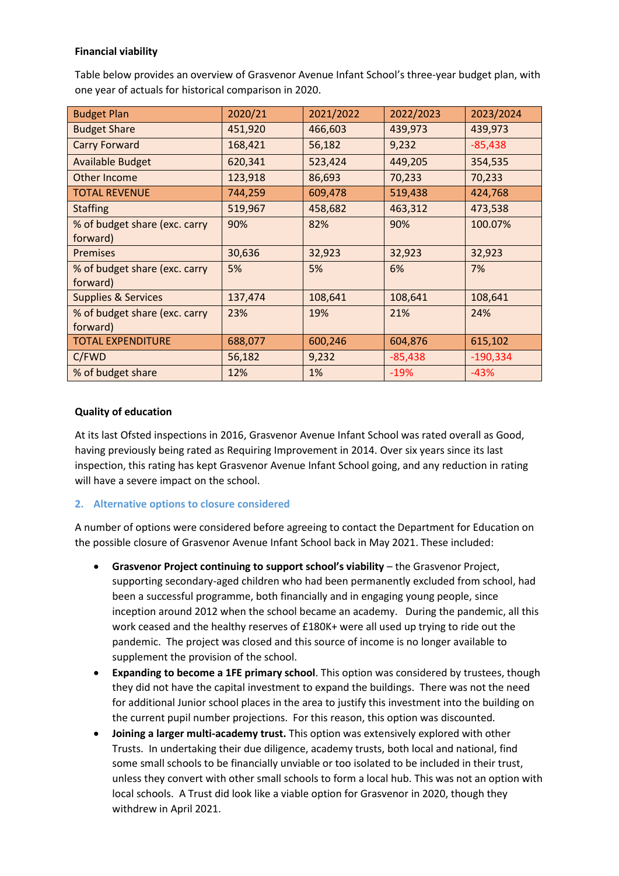# **Financial viability**

Table below provides an overview of Grasvenor Avenue Infant School's three-year budget plan, with one year of actuals for historical comparison in 2020.

| <b>Budget Plan</b>             | 2020/21 | 2021/2022 | 2022/2023 | 2023/2024  |
|--------------------------------|---------|-----------|-----------|------------|
| <b>Budget Share</b>            | 451,920 | 466,603   | 439,973   | 439,973    |
| <b>Carry Forward</b>           | 168,421 | 56,182    | 9,232     | $-85,438$  |
| <b>Available Budget</b>        | 620,341 | 523,424   | 449,205   | 354,535    |
| Other Income                   | 123,918 | 86,693    | 70,233    | 70,233     |
| <b>TOTAL REVENUE</b>           | 744,259 | 609,478   | 519,438   | 424,768    |
| <b>Staffing</b>                | 519,967 | 458,682   | 463,312   | 473,538    |
| % of budget share (exc. carry  | 90%     | 82%       | 90%       | 100.07%    |
| forward)                       |         |           |           |            |
| <b>Premises</b>                | 30,636  | 32,923    | 32,923    | 32,923     |
| % of budget share (exc. carry  | 5%      | 5%        | 6%        | 7%         |
| forward)                       |         |           |           |            |
| <b>Supplies &amp; Services</b> | 137,474 | 108,641   | 108,641   | 108,641    |
| % of budget share (exc. carry  | 23%     | 19%       | 21%       | 24%        |
| forward)                       |         |           |           |            |
| <b>TOTAL EXPENDITURE</b>       | 688,077 | 600,246   | 604,876   | 615,102    |
| C/FWD                          | 56,182  | 9,232     | $-85,438$ | $-190,334$ |
| % of budget share              | 12%     | 1%        | $-19%$    | $-43%$     |

## **Quality of education**

At its last Ofsted inspections in 2016, Grasvenor Avenue Infant School was rated overall as Good, having previously being rated as Requiring Improvement in 2014. Over six years since its last inspection, this rating has kept Grasvenor Avenue Infant School going, and any reduction in rating will have a severe impact on the school.

## **2. Alternative options to closure considered**

A number of options were considered before agreeing to contact the Department for Education on the possible closure of Grasvenor Avenue Infant School back in May 2021. These included:

- **Grasvenor Project continuing to support school's viability** the Grasvenor Project, supporting secondary-aged children who had been permanently excluded from school, had been a successful programme, both financially and in engaging young people, since inception around 2012 when the school became an academy. During the pandemic, all this work ceased and the healthy reserves of £180K+ were all used up trying to ride out the pandemic. The project was closed and this source of income is no longer available to supplement the provision of the school.
- **Expanding to become a 1FE primary school**. This option was considered by trustees, though they did not have the capital investment to expand the buildings. There was not the need for additional Junior school places in the area to justify this investment into the building on the current pupil number projections. For this reason, this option was discounted.
- **Joining a larger multi-academy trust.** This option was extensively explored with other Trusts. In undertaking their due diligence, academy trusts, both local and national, find some small schools to be financially unviable or too isolated to be included in their trust, unless they convert with other small schools to form a local hub. This was not an option with local schools. A Trust did look like a viable option for Grasvenor in 2020, though they withdrew in April 2021.